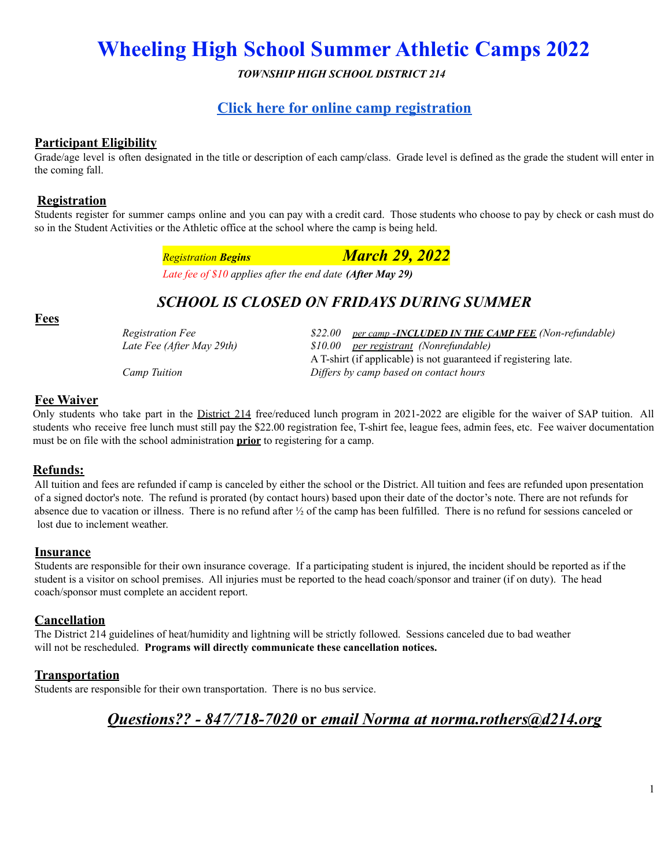*TOWNSHIP HIGH SCHOOL DISTRICT 214*

### **Click here for online camp [registration](https://summercampreg.d214.org/)**

#### **Participant Eligibility**

Grade/age level is often designated in the title or description of each camp/class. Grade level is defined as the grade the student will enter in the coming fall.

#### **Registration**

Students register for summer camps online and you can pay with a credit card. Those students who choose to pay by check or cash must do so in the Student Activities or the Athletic office at the school where the camp is being held.

| <b>Registration Begins</b> | <b>March 29, 2022</b> |
|----------------------------|-----------------------|
|                            |                       |

*Late fee of \$10 applies after the end date (After May 29)*

## *SCHOOL IS CLOSED ON FRIDAYS DURING SUMMER*

#### **Fees**

*Registration Fee \$22.00 per camp -INCLUDED IN THE CAMP FEE (Non-refundable) Late Fee (After May 29th) \$10.00 per registrant (Nonrefundable)* A T-shirt (if applicable) is not guaranteed if registering late. *Camp Tuition Dif ers by camp based on contact hours*

#### **Fee Waiver**

Only students who take part in the District 214 free/reduced lunch program in 2021-2022 are eligible for the waiver of SAP tuition. All students who receive free lunch must still pay the \$22.00 registration fee, T-shirt fee, league fees, admin fees, etc. Fee waiver documentation must be on file with the school administration **prior** to registering for a camp.

#### **Refunds:**

All tuition and fees are refunded if camp is canceled by either the school or the District. All tuition and fees are refunded upon presentation of a signed doctor's note. The refund is prorated (by contact hours) based upon their date of the doctor's note. There are not refunds for absence due to vacation or illness. There is no refund after ½ of the camp has been fulfilled. There is no refund for sessions canceled or lost due to inclement weather.

#### **Insurance**

Students are responsible for their own insurance coverage. If a participating student is injured, the incident should be reported as if the student is a visitor on school premises. All injuries must be reported to the head coach/sponsor and trainer (if on duty). The head coach/sponsor must complete an accident report.

#### **Cancellation**

The District 214 guidelines of heat/humidity and lightning will be strictly followed. Sessions canceled due to bad weather will not be rescheduled. **Programs will directly communicate these cancellation notices.**

#### **Transportation**

Students are responsible for their own transportation. There is no bus service.

# *Questions?? - 847/718-7020* **or** *email Norma at norma.rothers@d214.org*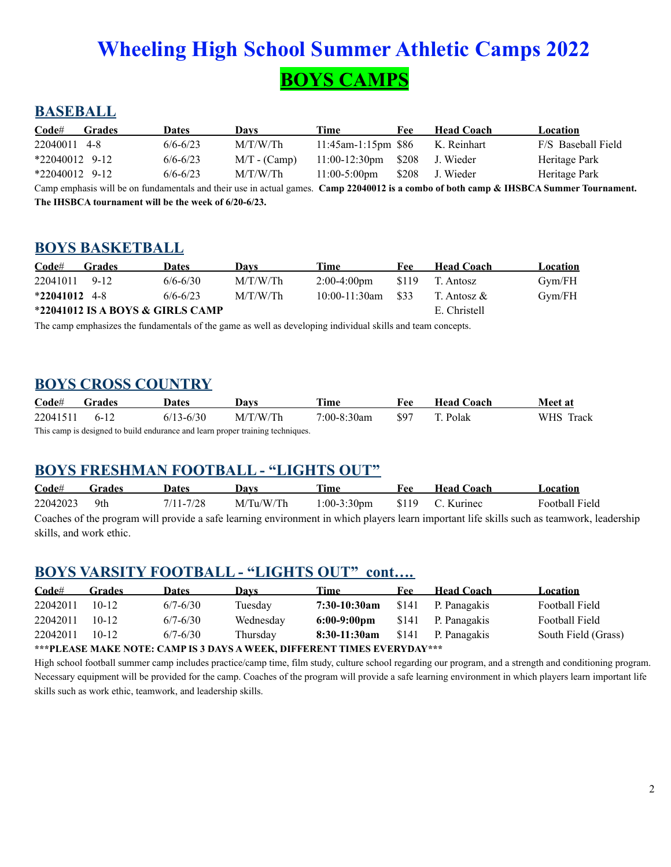# **Wheeling High School Summer Athletic Camps 2022 BOYS CAMPS**

# **BASEBALL**

| $\mathbf{Code}$ # | <b>Grades</b> | <b>Dates</b> | Davs           | Time                   | Fee   | <b>Head Coach</b>                                                                                                                  | Location           |
|-------------------|---------------|--------------|----------------|------------------------|-------|------------------------------------------------------------------------------------------------------------------------------------|--------------------|
| 22040011 4-8      |               | $6/6 - 6/23$ | M/T/W/Th       | $11:45$ am-1:15pm \$86 |       | K. Reinhart                                                                                                                        | F/S Baseball Field |
| $*22040012$ 9-12  |               | $6/6 - 6/23$ | $M/T - (Camp)$ | $11:00-12:30$ pm       | \$208 | J. Wieder                                                                                                                          | Heritage Park      |
| $*22040012$ 9-12  |               | $6/6 - 6/23$ | M/T/W/Th       | $11:00-5:00$ pm        | \$208 | J. Wieder                                                                                                                          | Heritage Park      |
|                   |               |              |                |                        |       | Camp emphasis will be an fundamentals and their use in actual games. Camp 22040012 is a combe of both camp & HKRCA Summer Townamon |                    |

Camp emphasis will be on fundamentals and their use in actual games. **Camp 22040012 is a combo of both camp & IHSBCA Summer Tournament. The IHSBCA tournament will be the week of 6/20-6/23.**

## **BOYS BASKETBALL**

| $\mathbf{Code}^{\#}$ | <b>Grades</b> | Dates                            | Davs     | Time                  | Fee    | <b>Head Coach</b> | Location |
|----------------------|---------------|----------------------------------|----------|-----------------------|--------|-------------------|----------|
| 22041011 9-12        |               | $6/6 - 6/30$                     | M/T/W/Th | $2:00-4:00 \text{pm}$ | - S119 | T. Antosz         | Gym/FH   |
| $*22041012$ 4-8      |               | $6/6 - 6/23$                     | M/T/W/Th | $10:00-11:30$ am      | \$33   | T. Antosz &       | Gym/FH   |
|                      |               | *22041012 IS A BOYS & GIRLS CAMP |          |                       |        | E. Christell      |          |

The camp emphasizes the fundamentals of the game as well as developing individual skills and team concepts.

### **BOYS CROSS COUNTRY**

| Code#                                                                          | Grades | Dates         | Davs     | Time        | Fee  | <b>Head Coach</b> | <b>Meet</b> at |  |  |
|--------------------------------------------------------------------------------|--------|---------------|----------|-------------|------|-------------------|----------------|--|--|
| 22041511                                                                       | 6-12   | $6/13 - 6/30$ | M/T/W/Th | 7:00-8:30am | \$97 | T. Polak          | WHS Track      |  |  |
| This camp is designed to build endurance and learn proper training techniques. |        |               |          |             |      |                   |                |  |  |

## **BOYS FRESHMAN FOOTBALL - "LIGHTS OUT"**

| $\mathbf{Code}^{\#}$                                                                                                                      | <b>Grades</b> | <b>Dates</b> | Davs      | Time           | Fee : | <b>Head Coach</b> | Location       |  |  |
|-------------------------------------------------------------------------------------------------------------------------------------------|---------------|--------------|-----------|----------------|-------|-------------------|----------------|--|--|
| 22042023                                                                                                                                  | 9th           | 7/11-7/28    | M/Tu/W/Th | $1:00-3:30$ pm |       | \$119 C. Kurinec  | Football Field |  |  |
| Coaches of the program will provide a safe learning environment in which players learn important life skills such as teamwork, leadership |               |              |           |                |       |                   |                |  |  |
| skills, and work ethic.                                                                                                                   |               |              |           |                |       |                   |                |  |  |

### **BOYS VARSITY FOOTBALL - "LIGHTS OUT" cont….**

| $\mathbf{Code}^{\#}$ | <b>Grades</b>                                                                  | <b>Dates</b> | Davs      | Time                  | Fee   | <b>Head Coach</b> | <b>Location</b>     |  |  |  |
|----------------------|--------------------------------------------------------------------------------|--------------|-----------|-----------------------|-------|-------------------|---------------------|--|--|--|
| 22042011             | $10-12$                                                                        | $6/7 - 6/30$ | Tuesday   | 7:30-10:30am          | \$141 | P. Panagakis      | Football Field      |  |  |  |
| 22042011             | $10-12$                                                                        | $6/7 - 6/30$ | Wednesday | $6:00-9:00 \text{pm}$ | \$141 | P. Panagakis      | Football Field      |  |  |  |
| 22042011             | $10-12$                                                                        | $6/7 - 6/30$ | Thursday  | 8:30-11:30am          | \$141 | P. Panagakis      | South Field (Grass) |  |  |  |
|                      | ***DI E A CE MA IZE NOTE. CAMD IC 2 DAVC A WEELZ - DIEEEDENT TIMEC EVEDVDAV*** |              |           |                       |       |                   |                     |  |  |  |

**\*\*\*PLEASE MAKE NOTE: CAMP IS 3 DAYS A WEEK, DIFFERENT TIMES EVERYDAY\*\*\***

High school football summer camp includes practice/camp time, film study, culture school regarding our program, and a strength and conditioning program. Necessary equipment will be provided for the camp. Coaches of the program will provide a safe learning environment in which players learn important life skills such as work ethic, teamwork, and leadership skills.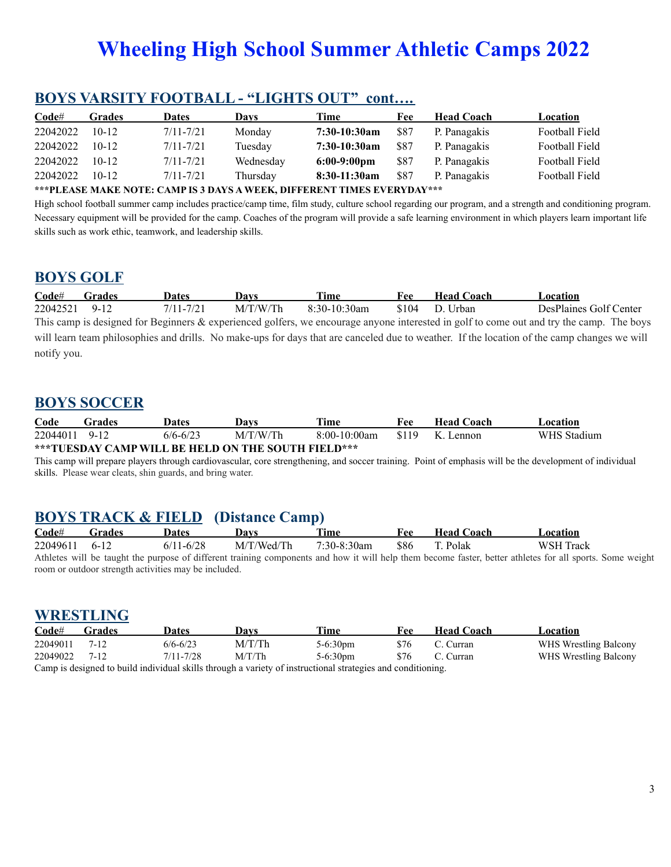| Code#    | <b>Grades</b> | <b>Dates</b>  | Davs      | Time           | Fee  | <b>Head Coach</b> | Location       |
|----------|---------------|---------------|-----------|----------------|------|-------------------|----------------|
| 22042022 | $10 - 12$     | $7/11 - 7/21$ | Monday    | 7:30-10:30am   | \$87 | P. Panagakis      | Football Field |
| 22042022 | $10 - 12$     | $7/11 - 7/21$ | Tuesday   | 7:30-10:30am   | \$87 | P. Panagakis      | Football Field |
| 22042022 | $10-12$       | $7/11 - 7/21$ | Wednesday | $6:00-9:00$ pm | \$87 | P. Panagakis      | Football Field |
| 22042022 | $10-12$       | $7/11 - 7/21$ | Thursday  | 8:30-11:30am   | \$87 | P. Panagakis      | Football Field |
|          |               |               |           |                |      |                   |                |

## **BOYS VARSITY FOOTBALL - "LIGHTS OUT" cont….**

#### **\*\*\*PLEASE MAKE NOTE: CAMP IS 3 DAYS A WEEK, DIFFERENT TIMES EVERYDAY\*\*\***

High school football summer camp includes practice/camp time, film study, culture school regarding our program, and a strength and conditioning program. Necessary equipment will be provided for the camp. Coaches of the program will provide a safe learning environment in which players learn important life skills such as work ethic, teamwork, and leadership skills.

### **BOYS GOLF**

| Code#       | <b>Grades</b> | <b>Dates</b>  | Davs     | Time            | Fee.  | <b>Head Coach</b> | Location                                                                                                                                    |
|-------------|---------------|---------------|----------|-----------------|-------|-------------------|---------------------------------------------------------------------------------------------------------------------------------------------|
| 22042521    | 9-12          | $7/11 - 7/21$ | M/T/W/Th | $8:30-10:30$ am | \$104 | D Urban           | DesPlaines Golf Center                                                                                                                      |
|             |               |               |          |                 |       |                   | This camp is designed for Beginners $\&$ experienced golfers, we encourage anyone interested in golf to come out and try the camp. The boys |
|             |               |               |          |                 |       |                   | will learn team philosophies and drills. No make-ups for days that are canceled due to weather. If the location of the camp changes we will |
| notify you. |               |               |          |                 |       |                   |                                                                                                                                             |

### **BOYS SOCCER**

| Code                                               | Frades   | Dates    | Davs     | Time            | Fee   | <b>Head Coach</b> | ∟ocation ∶  |  |
|----------------------------------------------------|----------|----------|----------|-----------------|-------|-------------------|-------------|--|
| 22044011                                           | $9 - 12$ | 6/6-6/23 | M/T/W/Th | $8:00-10:00$ am | \$119 | K. Lennon         | WHS Stadium |  |
| ***TUESDAY CAMP WILL BE HELD ON THE SOUTH FIELD*** |          |          |          |                 |       |                   |             |  |

This camp will prepare players through cardiovascular, core strengthening, and soccer training. Point of emphasis will be the development of individual skills. Please wear cleats, shin guards, and bring water.

## **BOYS TRACK & FIELD (Distance Camp)**

| Code#         | Grades | Dates                                                | Davs       | Time           | Fee  | <b>Head Coach</b> | Location                                                                                                                                                  |
|---------------|--------|------------------------------------------------------|------------|----------------|------|-------------------|-----------------------------------------------------------------------------------------------------------------------------------------------------------|
| 22049611 6-12 |        | $6/11 - 6/28$                                        | M/T/Wed/Th | $7:30-8:30$ am | -886 | T. Polak          | WSH Track                                                                                                                                                 |
|               |        |                                                      |            |                |      |                   | Athletes will be taught the purpose of different training components and how it will help them become faster, better athletes for all sports. Some weight |
|               |        | room or outdoor strength activities may be included. |            |                |      |                   |                                                                                                                                                           |

**WRESTLING**

| $\bf Code \#$                                                                                               | Grades | <b>Dates</b> | Davs   | Time               | Fee  | <b>Head Coach</b> | Location              |  |  |
|-------------------------------------------------------------------------------------------------------------|--------|--------------|--------|--------------------|------|-------------------|-----------------------|--|--|
| 22049011                                                                                                    | 7-12   | $6/6 - 6/23$ | M/T/Th | $5-6:30 \text{pm}$ | \$76 | C. Curran         | WHS Wrestling Balcony |  |  |
| 22049022 7-12                                                                                               |        | 7/11-7/28    | M/T/Th | $5-6:30 \text{pm}$ | \$76 | C. Curran         | WHS Wrestling Balcony |  |  |
| Camp is designed to build individual skills through a variety of instructional strategies and conditioning. |        |              |        |                    |      |                   |                       |  |  |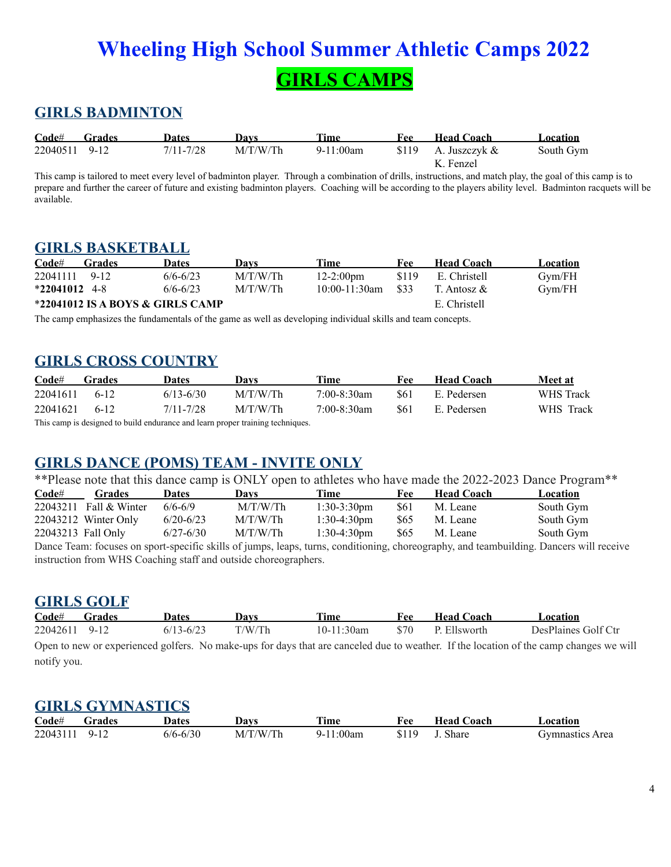# **Wheeling High School Summer Athletic Camps 2022 GIRLS CAMPS**

# **GIRLS BADMINTON**

| Code#         | <b>Grades</b> | Dates     | Davs     | Time      | Fee | <b>Head Coach</b>      | Location  |
|---------------|---------------|-----------|----------|-----------|-----|------------------------|-----------|
| 22040511 9-12 |               | 7/11-7/28 | M/T/W/Th | 9-11:00am |     | \$119 A. Juszczyk $\&$ | South Gym |
|               |               |           |          |           |     | K. Fenzel              |           |

This camp is tailored to meet every level of badminton player. Through a combination of drills, instructions, and match play, the goal of this camp is to prepare and further the career of future and existing badminton players. Coaching will be according to the players ability level. Badminton racquets will be available.

### **GIRLS BASKETBALL**

| $\mathbf{Code}^{\#}$                             | Grades | <b>Dates</b> | Davs     | Time                  | Fee               | <b>Head Coach</b> | Location |
|--------------------------------------------------|--------|--------------|----------|-----------------------|-------------------|-------------------|----------|
| 22041111 9-12                                    |        | $6/6 - 6/23$ | M/T/W/Th | $12 - 2:00 \text{pm}$ | \$119             | E. Christell      | Gym/FH   |
| $*22041012$ 4-8                                  |        | $6/6 - 6/23$ | M/T/W/Th | $10:00-11:30$ am      | - S <sub>33</sub> | T. Antosz &       | Gvm/FH   |
| *22041012 IS A BOYS & GIRLS CAMP<br>E. Christell |        |              |          |                       |                   |                   |          |

The camp emphasizes the fundamentals of the game as well as developing individual skills and team concepts.

## **GIRLS CROSS COUNTRY**

| $\mathbf{Code}$ # | Grades | <b>Dates</b>  | Davs                                                                          | Time        | Fee        | <b>Head Coach</b> | Meet at   |
|-------------------|--------|---------------|-------------------------------------------------------------------------------|-------------|------------|-------------------|-----------|
| 22041611          | 6-12   | $6/13 - 6/30$ | M/T/W/Th                                                                      | 7:00-8:30am | <b>S61</b> | E. Pedersen       | WHS Track |
| 22041621          | $6-12$ | $7/11 - 7/28$ | M/T/W/Th                                                                      | 7:00-8:30am | <b>S61</b> | E. Pedersen       | WHS Track |
|                   |        |               | This camp is decigned to build endurance and learn proper training toobniques |             |            |                   |           |

The signed to build endurance and learn proper training techniques.

# **GIRLS DANCE (POMS) TEAM - INVITE ONLY**

\*\*Please note that this dance camp is ONLY open to athletes who have made the 2022-2023 Dance Program\*\*

| $\mathbf{Code}$ # | <b>Grades</b>          | <b>Dates</b>  | Davs     | Time                  | Fee        | <b>Head Coach</b>                                                                                                                       | Location  |
|-------------------|------------------------|---------------|----------|-----------------------|------------|-----------------------------------------------------------------------------------------------------------------------------------------|-----------|
|                   | 22043211 Fall & Winter | $6/6 - 6/9$   | M/T/W/Th | $1:30-3:30 \text{pm}$ | <b>S61</b> | M. Leane                                                                                                                                | South Gym |
|                   | 22043212 Winter Only   | $6/20 - 6/23$ | M/T/W/Th | $1:30-4:30 \text{pm}$ | \$65       | M. Leane                                                                                                                                | South Gym |
|                   | 22043213 Fall Only     | $6/27 - 6/30$ | M/T/W/Th | $1:30-4:30$ pm        | S65        | M. Leane                                                                                                                                | South Gym |
|                   |                        |               |          |                       |            | Dance Team: focuses on sport-specific skills of jumps, leaps, turns, conditioning, choreography, and teambuilding. Dancers will receive |           |

instruction from WHS Coaching staff and outside choreographers.

## **GIRLS GOLF**

| Code#         | <b>Grades</b> | Dates         | Davs   | <b>Time</b> | Fee  | <b>Head Coach</b> | Location                                                                                                                               |
|---------------|---------------|---------------|--------|-------------|------|-------------------|----------------------------------------------------------------------------------------------------------------------------------------|
| 22042611 9-12 |               | $6/13 - 6/23$ | T/W/Th | 10-11:30am  | \$70 | P Ellsworth       | DesPlaines Golf Ctr                                                                                                                    |
|               |               |               |        |             |      |                   | Open to new or experienced golfers. No make-ups for days that are canceled due to weather. If the location of the camp changes we will |

notify you.

## **GIRLS GYMNASTICS**

| Code#    | Grades | Dates        | Davs     | $T = 10$<br>11me | Fee   | <b>Head Coach</b> | . ocation       |
|----------|--------|--------------|----------|------------------|-------|-------------------|-----------------|
| 22043111 | 9-12   | $6/6 - 6/30$ | M/T/W/Th | 9-11:00am        | \$119 | <b>Share</b>      | Gymnastics Area |